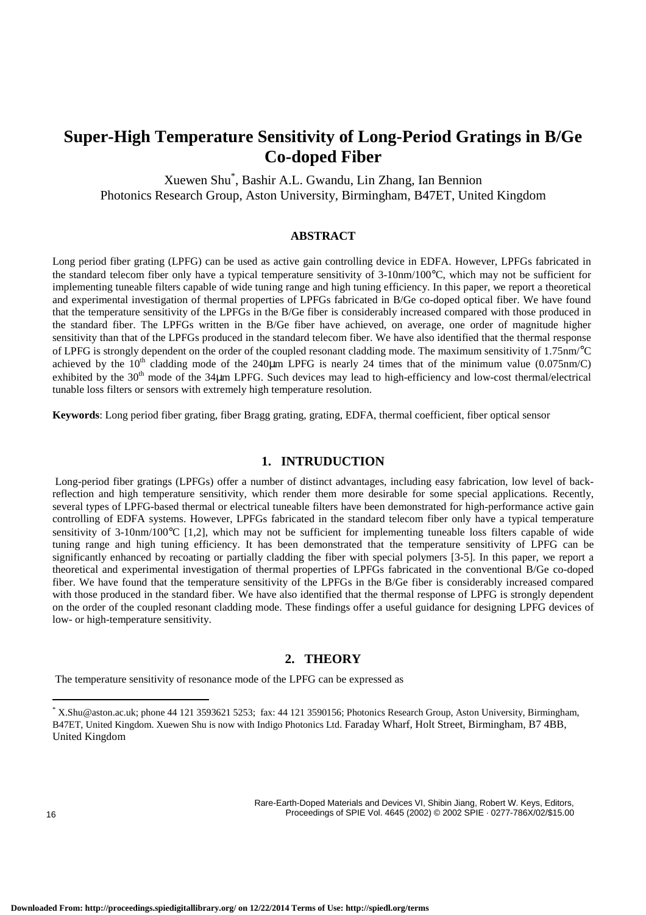# **Super-High Temperature Sensitivity of Long-Period Gratings in B/Ge Co-doped Fiber**

Xuewen Shu\* , Bashir A.L. Gwandu, Lin Zhang, Ian Bennion Photonics Research Group, Aston University, Birmingham, B47ET, United Kingdom

# **ABSTRACT**

Long period fiber grating (LPFG) can be used as active gain controlling device in EDFA. However, LPFGs fabricated in the standard telecom fiber only have a typical temperature sensitivity of 3-10nm/100°C, which may not be sufficient for implementing tuneable filters capable of wide tuning range and high tuning efficiency. In this paper, we report a theoretical and experimental investigation of thermal properties of LPFGs fabricated in B/Ge co-doped optical fiber. We have found that the temperature sensitivity of the LPFGs in the B/Ge fiber is considerably increased compared with those produced in the standard fiber. The LPFGs written in the B/Ge fiber have achieved, on average, one order of magnitude higher sensitivity than that of the LPFGs produced in the standard telecom fiber. We have also identified that the thermal response of LPFG is strongly dependent on the order of the coupled resonant cladding mode. The maximum sensitivity of 1.75nm/°C achieved by the  $10<sup>th</sup>$  cladding mode of the 240 $\mu$ m LPFG is nearly 24 times that of the minimum value (0.075nm/C) exhibited by the  $30<sup>th</sup>$  mode of the 34 $\mu$ m LPFG. Such devices may lead to high-efficiency and low-cost thermal/electrical tunable loss filters or sensors with extremely high temperature resolution.

**Keywords**: Long period fiber grating, fiber Bragg grating, grating, EDFA, thermal coefficient, fiber optical sensor

# **1. INTRUDUCTION**

 Long-period fiber gratings (LPFGs) offer a number of distinct advantages, including easy fabrication, low level of backreflection and high temperature sensitivity, which render them more desirable for some special applications. Recently, several types of LPFG-based thermal or electrical tuneable filters have been demonstrated for high-performance active gain controlling of EDFA systems. However, LPFGs fabricated in the standard telecom fiber only have a typical temperature sensitivity of 3-10nm/100°C [1,2], which may not be sufficient for implementing tuneable loss filters capable of wide tuning range and high tuning efficiency. It has been demonstrated that the temperature sensitivity of LPFG can be significantly enhanced by recoating or partially cladding the fiber with special polymers [3-5]. In this paper, we report a theoretical and experimental investigation of thermal properties of LPFGs fabricated in the conventional B/Ge co-doped fiber. We have found that the temperature sensitivity of the LPFGs in the B/Ge fiber is considerably increased compared with those produced in the standard fiber. We have also identified that the thermal response of LPFG is strongly dependent on the order of the coupled resonant cladding mode. These findings offer a useful guidance for designing LPFG devices of low- or high-temperature sensitivity.

#### **2. THEORY**

The temperature sensitivity of resonance mode of the LPFG can be expressed as

Rare-Earth-Doped Materials and Devices VI, Shibin Jiang, Robert W. Keys, Editors, 16 Proceedings of SPIE Vol. 4645 (2002) © 2002 SPIE · 0277-786X/02/\$15.00

 \* X.Shu@aston.ac.uk; phone 44 121 3593621 5253; fax: 44 121 3590156; Photonics Research Group, Aston University, Birmingham, B47ET, United Kingdom. Xuewen Shu is now with Indigo Photonics Ltd. Faraday Wharf, Holt Street, Birmingham, B7 4BB, United Kingdom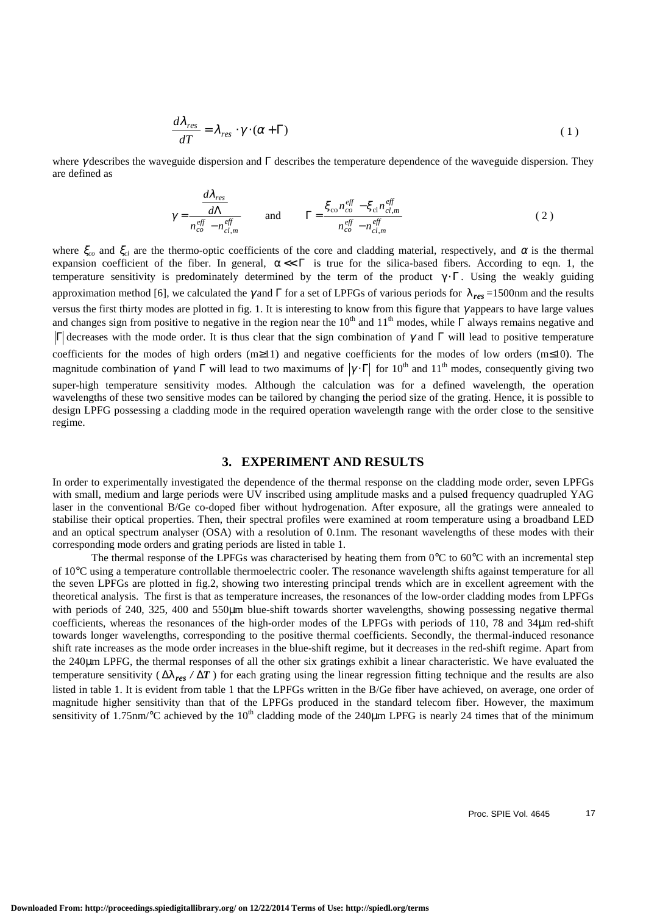$$
\frac{d\lambda_{res}}{dT} = \lambda_{res} \cdot \gamma \cdot (\alpha + \Gamma) \tag{1}
$$

where γ describes the waveguide dispersion and Γ describes the temperature dependence of the waveguide dispersion. They are defined as

$$
\gamma = \frac{d\lambda_{res}}{n_{co}^{eff} - n_{cl,m}^{eff}}
$$
 and 
$$
\Gamma = \frac{\xi_{co}n_{co}^{eff} - \xi_{cl}n_{cl,m}^{eff}}{n_{co}^{eff} - n_{cl,m}^{eff}}
$$
 (2)

where  $\xi_{co}$  and  $\xi_{cl}$  are the thermo-optic coefficients of the core and cladding material, respectively, and  $\alpha$  is the thermal expansion coefficient of the fiber. In general,  $\alpha \ll \Gamma$  is true for the silica-based fibers. According to eqn. 1, the temperature sensitivity is predominately determined by the term of the product  $\gamma \cdot \Gamma$ . Using the weakly guiding approximation method [6], we calculated the γ and Γ for a set of LPFGs of various periods for λ*res* =1500nm and the results versus the first thirty modes are plotted in fig. 1. It is interesting to know from this figure that γ appears to have large values and changes sign from positive to negative in the region near the  $10<sup>th</sup>$  and  $11<sup>th</sup>$  modes, while  $\Gamma$  always remains negative and  $\Gamma$  decreases with the mode order. It is thus clear that the sign combination of γ and Γ will lead to positive temperature coefficients for the modes of high orders (m≥11) and negative coefficients for the modes of low orders (m≤10). The magnitude combination of  $\gamma$  and  $\Gamma$  will lead to two maximums of  $|\gamma \cdot \Gamma|$  for  $10^{th}$  and  $11^{th}$  modes, consequently giving two super-high temperature sensitivity modes. Although the calculation was for a defined wavelength, the operation wavelengths of these two sensitive modes can be tailored by changing the period size of the grating. Hence, it is possible to design LPFG possessing a cladding mode in the required operation wavelength range with the order close to the sensitive regime.

### **3. EXPERIMENT AND RESULTS**

In order to experimentally investigated the dependence of the thermal response on the cladding mode order, seven LPFGs with small, medium and large periods were UV inscribed using amplitude masks and a pulsed frequency quadrupled YAG laser in the conventional B/Ge co-doped fiber without hydrogenation. After exposure, all the gratings were annealed to stabilise their optical properties. Then, their spectral profiles were examined at room temperature using a broadband LED and an optical spectrum analyser (OSA) with a resolution of 0.1nm. The resonant wavelengths of these modes with their corresponding mode orders and grating periods are listed in table 1.

The thermal response of the LPFGs was characterised by heating them from  $0^{\circ}$ C to  $60^{\circ}$ C with an incremental step of 10°C using a temperature controllable thermoelectric cooler. The resonance wavelength shifts against temperature for all the seven LPFGs are plotted in fig.2, showing two interesting principal trends which are in excellent agreement with the theoretical analysis. The first is that as temperature increases, the resonances of the low-order cladding modes from LPFGs with periods of 240, 325, 400 and 550µm blue-shift towards shorter wavelengths, showing possessing negative thermal coefficients, whereas the resonances of the high-order modes of the LPFGs with periods of 110, 78 and 34µm red-shift towards longer wavelengths, corresponding to the positive thermal coefficients. Secondly, the thermal-induced resonance shift rate increases as the mode order increases in the blue-shift regime, but it decreases in the red-shift regime. Apart from the 240µm LPFG, the thermal responses of all the other six gratings exhibit a linear characteristic. We have evaluated the temperature sensitivity ( ∆λ*res /* ∆*T* ) for each grating using the linear regression fitting technique and the results are also listed in table 1. It is evident from table 1 that the LPFGs written in the B/Ge fiber have achieved, on average, one order of magnitude higher sensitivity than that of the LPFGs produced in the standard telecom fiber. However, the maximum sensitivity of 1.75nm/°C achieved by the  $10<sup>th</sup>$  cladding mode of the 240 $\mu$ m LPFG is nearly 24 times that of the minimum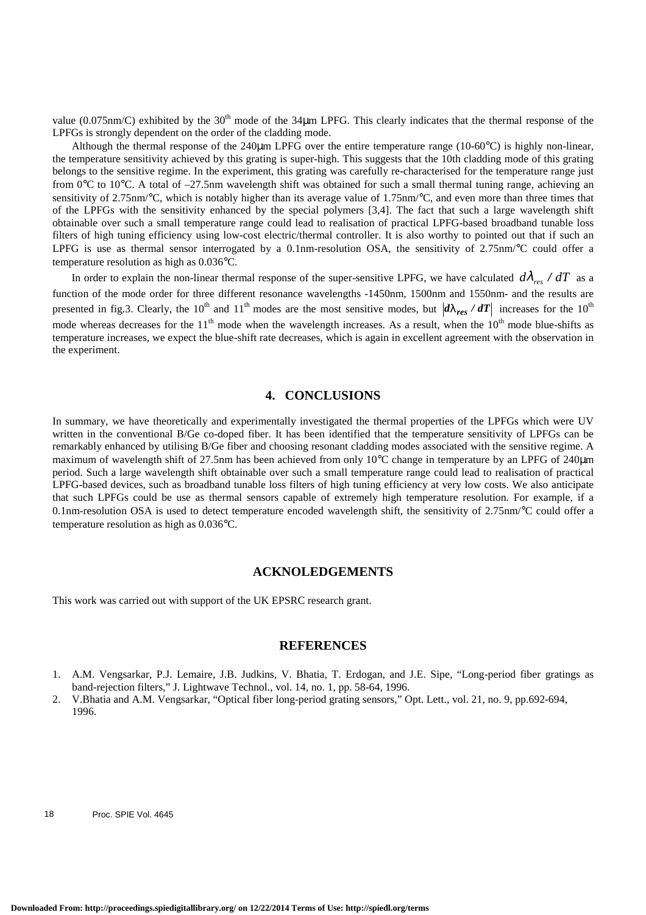value (0.075nm/C) exhibited by the  $30<sup>th</sup>$  mode of the 34 $\mu$ m LPFG. This clearly indicates that the thermal response of the LPFGs is strongly dependent on the order of the cladding mode.

Although the thermal response of the 240 $\mu$ m LPFG over the entire temperature range (10-60 $^{\circ}$ C) is highly non-linear, the temperature sensitivity achieved by this grating is super-high. This suggests that the 10th cladding mode of this grating belongs to the sensitive regime. In the experiment, this grating was carefully re-characterised for the temperature range just from 0°C to 10°C. A total of –27.5nm wavelength shift was obtained for such a small thermal tuning range, achieving an sensitivity of 2.75nm/°C, which is notably higher than its average value of 1.75nm/°C, and even more than three times that of the LPFGs with the sensitivity enhanced by the special polymers [3,4]. The fact that such a large wavelength shift obtainable over such a small temperature range could lead to realisation of practical LPFG-based broadband tunable loss filters of high tuning efficiency using low-cost electric/thermal controller. It is also worthy to pointed out that if such an LPFG is use as thermal sensor interrogated by a 0.1nm-resolution OSA, the sensitivity of 2.75nm/°C could offer a temperature resolution as high as 0.036°C.

In order to explain the non-linear thermal response of the super-sensitive LPFG, we have calculated  $d\lambda_{res}$  /  $dT$  as a function of the mode order for three different resonance wavelengths -1450nm, 1500nm and 1550nm- and the results are presented in fig.3. Clearly, the 10<sup>th</sup> and 11<sup>th</sup> modes are the most sensitive modes, but  $d\lambda_{res}/dT$  increases for the 10<sup>th</sup> mode whereas decreases for the  $11<sup>th</sup>$  mode when the wavelength increases. As a result, when the  $10<sup>th</sup>$  mode blue-shifts as temperature increases, we expect the blue-shift rate decreases, which is again in excellent agreement with the observation in the experiment.

# **4. CONCLUSIONS**

In summary, we have theoretically and experimentally investigated the thermal properties of the LPFGs which were UV written in the conventional B/Ge co-doped fiber. It has been identified that the temperature sensitivity of LPFGs can be remarkably enhanced by utilising B/Ge fiber and choosing resonant cladding modes associated with the sensitive regime. A maximum of wavelength shift of 27.5nm has been achieved from only 10°C change in temperature by an LPFG of 240 $\mu$ m period. Such a large wavelength shift obtainable over such a small temperature range could lead to realisation of practical LPFG-based devices, such as broadband tunable loss filters of high tuning efficiency at very low costs. We also anticipate that such LPFGs could be use as thermal sensors capable of extremely high temperature resolution. For example, if a 0.1nm-resolution OSA is used to detect temperature encoded wavelength shift, the sensitivity of 2.75nm/°C could offer a temperature resolution as high as 0.036°C.

#### **ACKNOLEDGEMENTS**

This work was carried out with support of the UK EPSRC research grant.

### **REFERENCES**

- 1. A.M. Vengsarkar, P.J. Lemaire, J.B. Judkins, V. Bhatia, T. Erdogan, and J.E. Sipe, "Long-period fiber gratings as band-rejection filters," J. Lightwave Technol., vol. 14, no. 1, pp. 58-64, 1996.
- 2. V.Bhatia and A.M. Vengsarkar, "Optical fiber long-period grating sensors," Opt. Lett., vol. 21, no. 9, pp.692-694, 1996.

18 Proc. SPIE Vol. 4645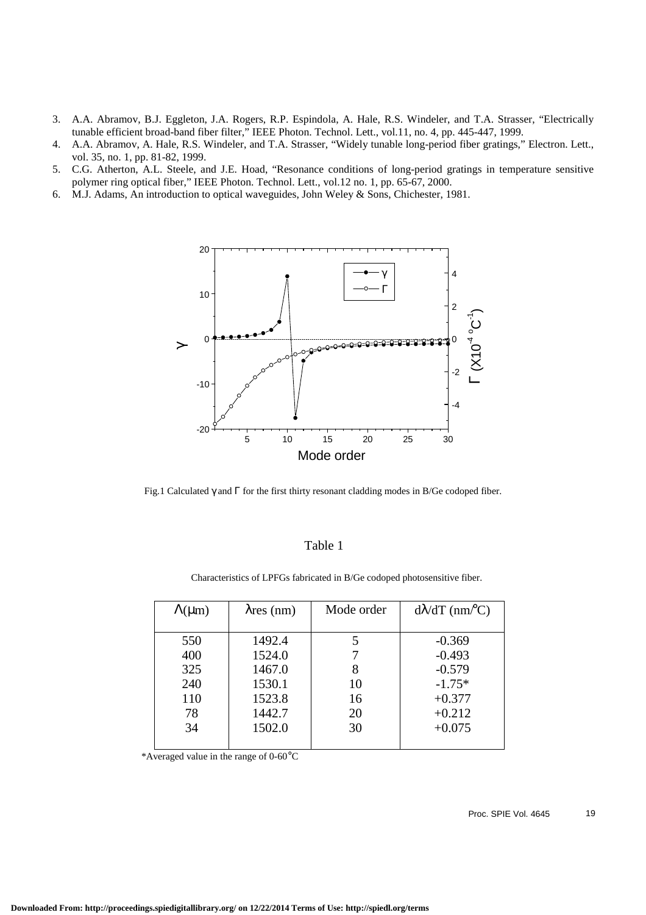- 3. A.A. Abramov, B.J. Eggleton, J.A. Rogers, R.P. Espindola, A. Hale, R.S. Windeler, and T.A. Strasser, "Electrically tunable efficient broad-band fiber filter," IEEE Photon. Technol. Lett., vol.11, no. 4, pp. 445-447, 1999.
- 4. A.A. Abramov, A. Hale, R.S. Windeler, and T.A. Strasser, "Widely tunable long-period fiber gratings," Electron. Lett., vol. 35, no. 1, pp. 81-82, 1999.
- 5. C.G. Atherton, A.L. Steele, and J.E. Hoad, "Resonance conditions of long-period gratings in temperature sensitive polymer ring optical fiber," IEEE Photon. Technol. Lett., vol.12 no. 1, pp. 65-67, 2000.
- 6. M.J. Adams, An introduction to optical waveguides, John Weley & Sons, Chichester, 1981.



Fig.1 Calculated γ and Γ for the first thirty resonant cladding modes in B/Ge codoped fiber.

# Table 1

| $\Lambda(\mu m)$ | $\lambda$ res (nm) | Mode order | $d\lambda/dT$ (nm/°C) |
|------------------|--------------------|------------|-----------------------|
|                  |                    |            |                       |
| 550              | 1492.4             |            | $-0.369$              |
| 400              | 1524.0             |            | $-0.493$              |
| 325              | 1467.0             |            | $-0.579$              |
| 240              | 1530.1             |            | $-1.75*$              |

+0.377 +0.212 +0.075

Characteristics of LPFGs fabricated in B/Ge codoped photosensitive fiber.

\*Averaged value in the range of 0-60°C

1523.8 1442.7 1502.0

110 78 34